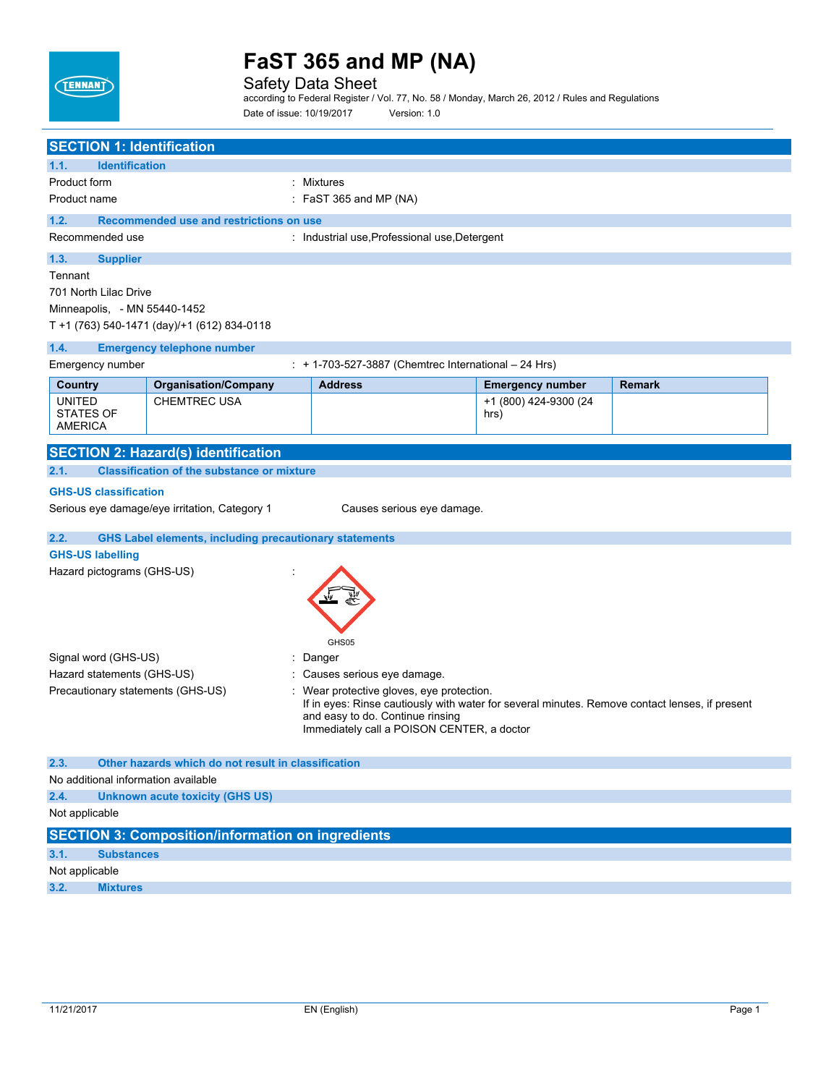

Safety Data Sheet

according to Federal Register / Vol. 77, No. 58 / Monday, March 26, 2012 / Rules and Regulations Date of issue: 10/19/2017 Version: 1.0

| <b>SECTION 1: Identification</b>            |                                                               |                                                                                                                                           |                         |               |  |
|---------------------------------------------|---------------------------------------------------------------|-------------------------------------------------------------------------------------------------------------------------------------------|-------------------------|---------------|--|
| 1.1.<br><b>Identification</b>               |                                                               |                                                                                                                                           |                         |               |  |
| Product form                                |                                                               | : Mixtures                                                                                                                                |                         |               |  |
| Product name                                |                                                               | $:$ FaST 365 and MP (NA)                                                                                                                  |                         |               |  |
| 1.2.                                        | Recommended use and restrictions on use                       |                                                                                                                                           |                         |               |  |
| Recommended use                             |                                                               | : Industrial use, Professional use, Detergent                                                                                             |                         |               |  |
| 1.3.<br><b>Supplier</b>                     |                                                               |                                                                                                                                           |                         |               |  |
| Tennant                                     |                                                               |                                                                                                                                           |                         |               |  |
| 701 North Lilac Drive                       |                                                               |                                                                                                                                           |                         |               |  |
| Minneapolis, - MN 55440-1452                |                                                               |                                                                                                                                           |                         |               |  |
|                                             | T +1 (763) 540-1471 (day)/+1 (612) 834-0118                   |                                                                                                                                           |                         |               |  |
| 1.4.                                        | <b>Emergency telephone number</b>                             |                                                                                                                                           |                         |               |  |
| Emergency number                            |                                                               | : + 1-703-527-3887 (Chemtrec International - 24 Hrs)                                                                                      |                         |               |  |
| Country                                     | <b>Organisation/Company</b>                                   | <b>Address</b>                                                                                                                            | <b>Emergency number</b> | <b>Remark</b> |  |
| <b>UNITED</b>                               | <b>CHEMTREC USA</b>                                           |                                                                                                                                           | +1 (800) 424-9300 (24   |               |  |
| <b>STATES OF</b><br><b>AMERICA</b>          |                                                               |                                                                                                                                           | hrs)                    |               |  |
|                                             |                                                               |                                                                                                                                           |                         |               |  |
|                                             | <b>SECTION 2: Hazard(s) identification</b>                    |                                                                                                                                           |                         |               |  |
| 2.1.                                        | <b>Classification of the substance or mixture</b>             |                                                                                                                                           |                         |               |  |
| <b>GHS-US classification</b>                |                                                               |                                                                                                                                           |                         |               |  |
|                                             | Serious eye damage/eye irritation, Category 1                 | Causes serious eye damage.                                                                                                                |                         |               |  |
| 2.2.                                        | <b>GHS Label elements, including precautionary statements</b> |                                                                                                                                           |                         |               |  |
| <b>GHS-US labelling</b>                     |                                                               |                                                                                                                                           |                         |               |  |
| Hazard pictograms (GHS-US)                  |                                                               |                                                                                                                                           |                         |               |  |
|                                             |                                                               |                                                                                                                                           |                         |               |  |
|                                             |                                                               |                                                                                                                                           |                         |               |  |
|                                             |                                                               |                                                                                                                                           |                         |               |  |
|                                             |                                                               | GHS05                                                                                                                                     |                         |               |  |
| Signal word (GHS-US)                        |                                                               | Danger                                                                                                                                    |                         |               |  |
| Hazard statements (GHS-US)                  |                                                               | Causes serious eye damage.                                                                                                                |                         |               |  |
| Precautionary statements (GHS-US)           |                                                               | Wear protective gloves, eye protection.<br>If in eyes: Rinse cautiously with water for several minutes. Remove contact lenses, if present |                         |               |  |
|                                             |                                                               | and easy to do. Continue rinsing                                                                                                          |                         |               |  |
|                                             |                                                               | Immediately call a POISON CENTER, a doctor                                                                                                |                         |               |  |
|                                             |                                                               |                                                                                                                                           |                         |               |  |
| 2.3.<br>No additional information available | Other hazards which do not result in classification           |                                                                                                                                           |                         |               |  |
| 2.4.                                        | <b>Unknown acute toxicity (GHS US)</b>                        |                                                                                                                                           |                         |               |  |
| Not applicable                              |                                                               |                                                                                                                                           |                         |               |  |
|                                             |                                                               |                                                                                                                                           |                         |               |  |
|                                             | <b>SECTION 3: Composition/information on ingredients</b>      |                                                                                                                                           |                         |               |  |
| 3.1.<br><b>Substances</b><br>Not applicable |                                                               |                                                                                                                                           |                         |               |  |
|                                             |                                                               |                                                                                                                                           |                         |               |  |

**3.2. Mixtures**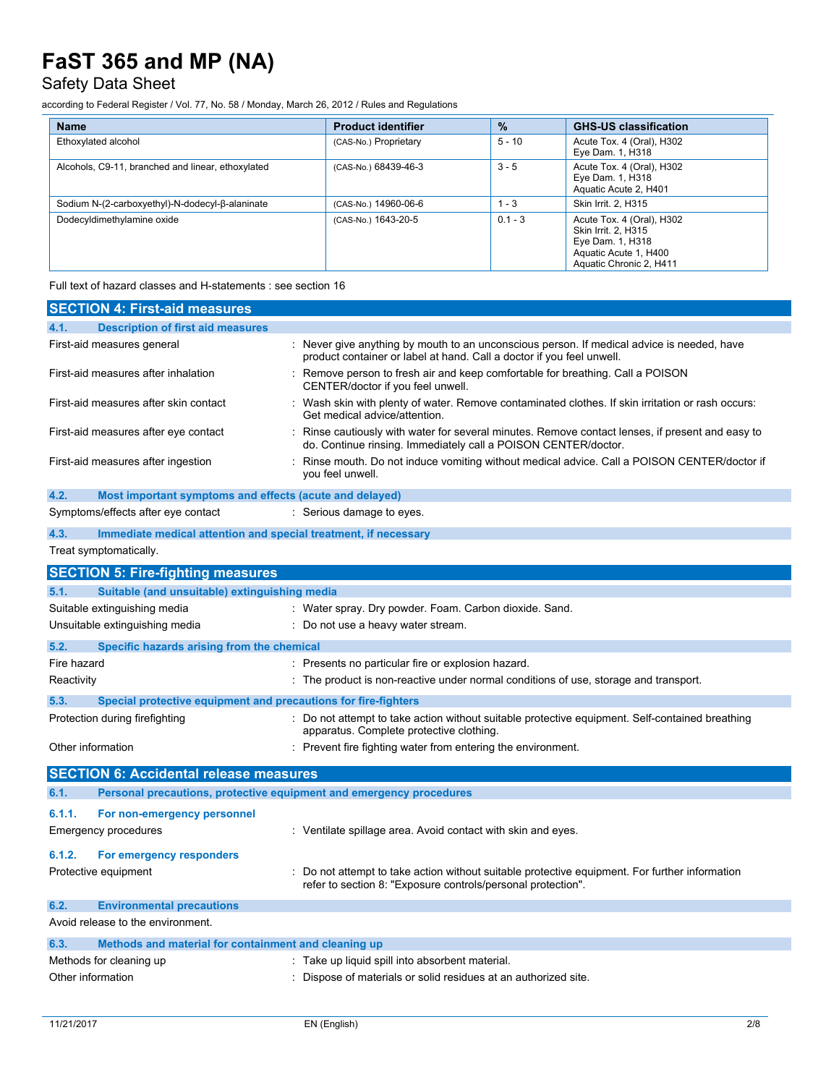## Safety Data Sheet

according to Federal Register / Vol. 77, No. 58 / Monday, March 26, 2012 / Rules and Regulations

| <b>Name</b>                                       | <b>Product identifier</b> | $\frac{9}{6}$ | <b>GHS-US classification</b>                                                                                             |
|---------------------------------------------------|---------------------------|---------------|--------------------------------------------------------------------------------------------------------------------------|
| Ethoxylated alcohol                               | (CAS-No.) Proprietary     | $5 - 10$      | Acute Tox. 4 (Oral), H302<br>Eye Dam. 1, H318                                                                            |
| Alcohols, C9-11, branched and linear, ethoxylated | (CAS-No.) 68439-46-3      | $3 - 5$       | Acute Tox. 4 (Oral), H302<br>Eye Dam. 1, H318<br>Aquatic Acute 2, H401                                                   |
| Sodium N-(2-carboxyethyl)-N-dodecyl-β-alaninate   | (CAS-No.) 14960-06-6      | $1 - 3$       | Skin Irrit, 2, H315                                                                                                      |
| Dodecyldimethylamine oxide                        | (CAS-No.) 1643-20-5       | $0.1 - 3$     | Acute Tox. 4 (Oral), H302<br>Skin Irrit, 2, H315<br>Eye Dam. 1, H318<br>Aquatic Acute 1, H400<br>Aquatic Chronic 2, H411 |

Full text of hazard classes and H-statements : see section 16

| <b>SECTION 4: First-aid measures</b>                                        |                                                                                                                                                                     |
|-----------------------------------------------------------------------------|---------------------------------------------------------------------------------------------------------------------------------------------------------------------|
| <b>Description of first aid measures</b><br>4.1.                            |                                                                                                                                                                     |
| First-aid measures general                                                  | : Never give anything by mouth to an unconscious person. If medical advice is needed, have<br>product container or label at hand. Call a doctor if you feel unwell. |
| First-aid measures after inhalation                                         | : Remove person to fresh air and keep comfortable for breathing. Call a POISON<br>CENTER/doctor if you feel unwell.                                                 |
| First-aid measures after skin contact                                       | : Wash skin with plenty of water. Remove contaminated clothes. If skin irritation or rash occurs:<br>Get medical advice/attention.                                  |
| First-aid measures after eye contact                                        | : Rinse cautiously with water for several minutes. Remove contact lenses, if present and easy to<br>do. Continue rinsing. Immediately call a POISON CENTER/doctor.  |
| First-aid measures after ingestion                                          | : Rinse mouth. Do not induce vomiting without medical advice. Call a POISON CENTER/doctor if<br>you feel unwell.                                                    |
| 4.2.<br>Most important symptoms and effects (acute and delayed)             |                                                                                                                                                                     |
| Symptoms/effects after eye contact                                          | : Serious damage to eyes.                                                                                                                                           |
| 4.3.<br>Immediate medical attention and special treatment, if necessary     |                                                                                                                                                                     |
| Treat symptomatically.                                                      |                                                                                                                                                                     |
| <b>SECTION 5: Fire-fighting measures</b>                                    |                                                                                                                                                                     |
| Suitable (and unsuitable) extinguishing media<br>5.1.                       |                                                                                                                                                                     |
| Suitable extinguishing media                                                | : Water spray. Dry powder. Foam. Carbon dioxide. Sand.                                                                                                              |
| Unsuitable extinguishing media                                              | : Do not use a heavy water stream.                                                                                                                                  |
| Specific hazards arising from the chemical<br>5.2.                          |                                                                                                                                                                     |
| Fire hazard                                                                 | : Presents no particular fire or explosion hazard.                                                                                                                  |
| Reactivity                                                                  | : The product is non-reactive under normal conditions of use, storage and transport.                                                                                |
| Special protective equipment and precautions for fire-fighters<br>5.3.      |                                                                                                                                                                     |
| Protection during firefighting                                              | : Do not attempt to take action without suitable protective equipment. Self-contained breathing<br>apparatus. Complete protective clothing.                         |
| Other information                                                           | : Prevent fire fighting water from entering the environment.                                                                                                        |
| <b>SECTION 6: Accidental release measures</b>                               |                                                                                                                                                                     |
| Personal precautions, protective equipment and emergency procedures<br>6.1. |                                                                                                                                                                     |
| 6.1.1.<br>For non-emergency personnel                                       |                                                                                                                                                                     |
| <b>Emergency procedures</b>                                                 | : Ventilate spillage area. Avoid contact with skin and eyes.                                                                                                        |
|                                                                             |                                                                                                                                                                     |
| 6.1.2.<br>For emergency responders                                          |                                                                                                                                                                     |
| Protective equipment                                                        | : Do not attempt to take action without suitable protective equipment. For further information<br>refer to section 8: "Exposure controls/personal protection".      |
| 6.2.<br><b>Environmental precautions</b>                                    |                                                                                                                                                                     |
| Avoid release to the environment.                                           |                                                                                                                                                                     |
| 6.3.<br>Methods and material for containment and cleaning up                |                                                                                                                                                                     |
| Methods for cleaning up                                                     | : Take up liquid spill into absorbent material.                                                                                                                     |
| Other information                                                           | : Dispose of materials or solid residues at an authorized site.                                                                                                     |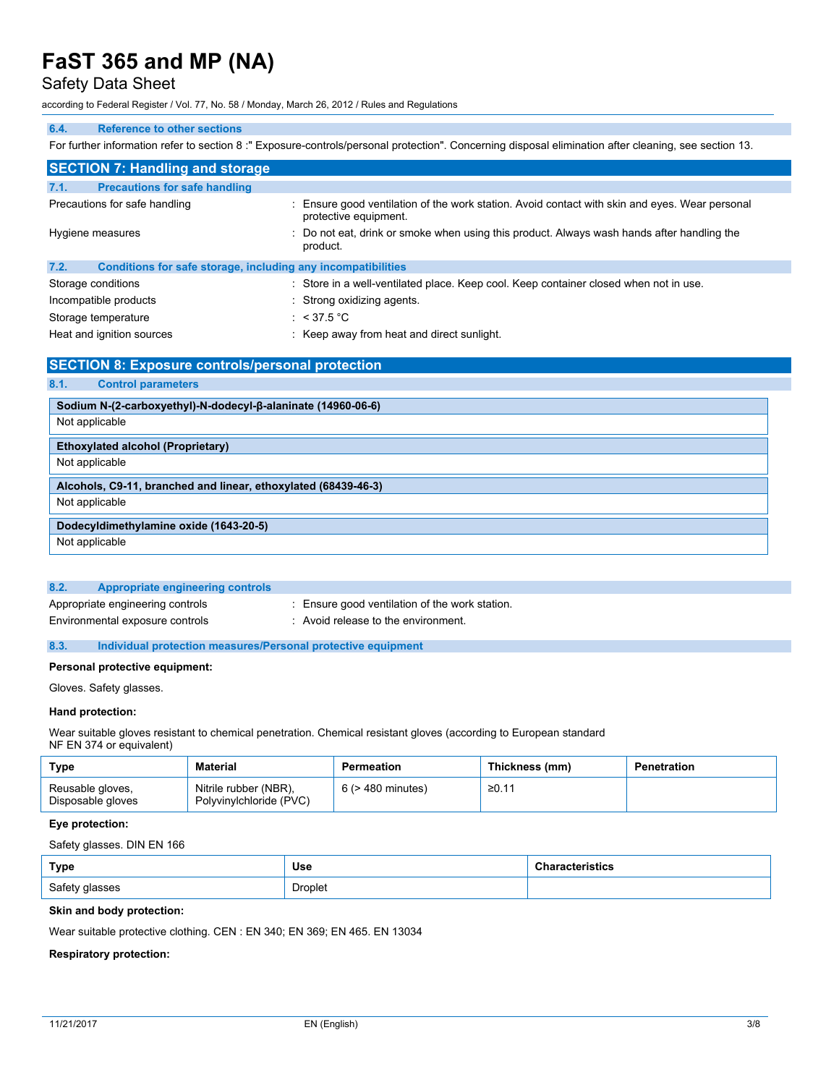## Safety Data Sheet

according to Federal Register / Vol. 77, No. 58 / Monday, March 26, 2012 / Rules and Regulations

#### **6.4. Reference to other sections**

For further information refer to section 8 :" Exposure-controls/personal protection". Concerning disposal elimination after cleaning, see section 13.

| <b>SECTION 7: Handling and storage</b>                               |                                                                                                                         |
|----------------------------------------------------------------------|-------------------------------------------------------------------------------------------------------------------------|
| 7.1.<br><b>Precautions for safe handling</b>                         |                                                                                                                         |
| Precautions for safe handling                                        | : Ensure good ventilation of the work station. Avoid contact with skin and eyes. Wear personal<br>protective equipment. |
| Hygiene measures                                                     | : Do not eat, drink or smoke when using this product. Always wash hands after handling the<br>product.                  |
| 7.2.<br>Conditions for safe storage, including any incompatibilities |                                                                                                                         |
| Storage conditions                                                   | : Store in a well-ventilated place. Keep cool. Keep container closed when not in use.                                   |
| Incompatible products                                                | : Strong oxidizing agents.                                                                                              |
| Storage temperature                                                  | : $<$ 37.5 °C                                                                                                           |

Heat and ignition sources : Keep away from heat and direct sunlight.

## **SECTION 8: Exposure controls/personal protection 8.1. Control parameters Sodium N-(2-carboxyethyl)-N-dodecyl-β-alaninate (14960-06-6)** Not applicable **Ethoxylated alcohol (Proprietary)** Not applicable **Alcohols, C9-11, branched and linear, ethoxylated (68439-46-3)** Not applicable **Dodecyldimethylamine oxide (1643-20-5)** Not applicable

| 8.2.<br>Appropriate engineering controls |                                                |
|------------------------------------------|------------------------------------------------|
| Appropriate engineering controls         | : Ensure good ventilation of the work station. |
| Environmental exposure controls          | Avoid release to the environment.              |

#### **8.3. Individual protection measures/Personal protective equipment**

#### **Personal protective equipment:**

Gloves. Safety glasses.

#### **Hand protection:**

Wear suitable gloves resistant to chemical penetration. Chemical resistant gloves (according to European standard NF EN 374 or equivalent)

| Type                                  | <b>Material</b>                                  | Permeation             | Thickness (mm) | Penetration |
|---------------------------------------|--------------------------------------------------|------------------------|----------------|-------------|
| Reusable gloves,<br>Disposable gloves | Nitrile rubber (NBR),<br>Polyvinylchloride (PVC) | $6$ ( $>$ 480 minutes) | ≥0.11          |             |

#### **Eye protection:**

Safety glasses. DIN EN 166

| Type           | Use     | ristics |
|----------------|---------|---------|
| Safety glasses | Droplet |         |

#### **Skin and body protection:**

Wear suitable protective clothing. CEN : EN 340; EN 369; EN 465. EN 13034

### **Respiratory protection:**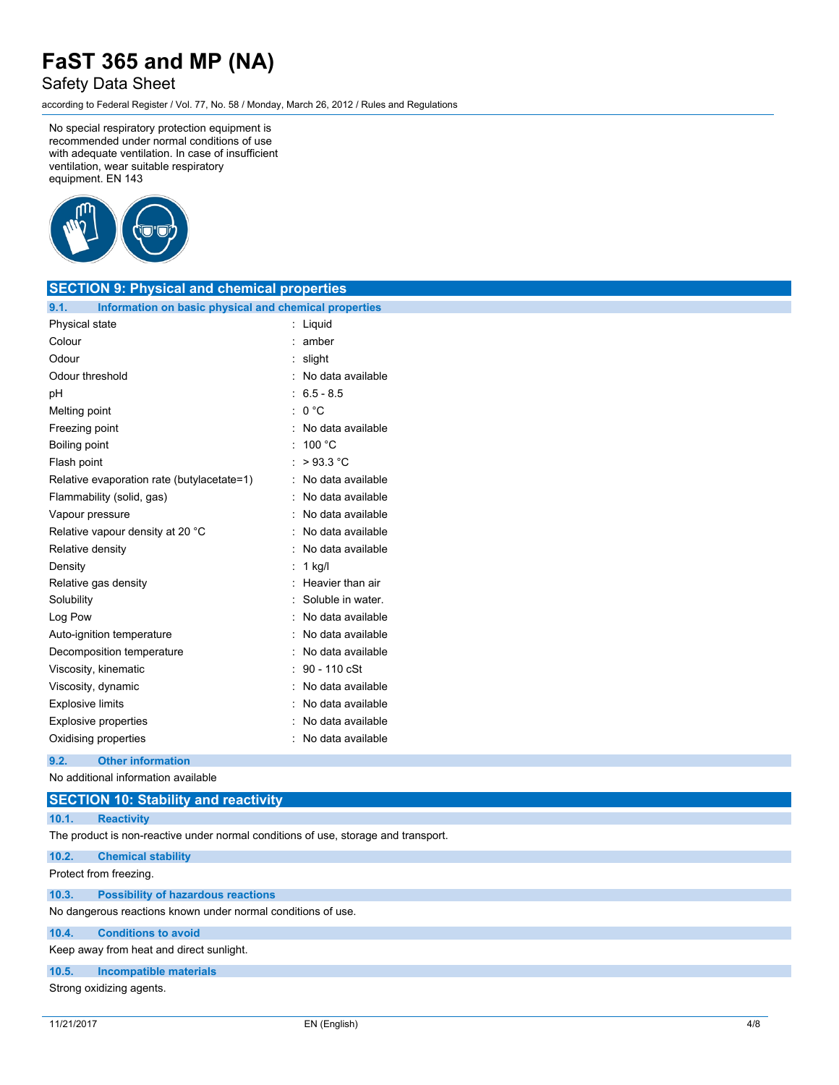## Safety Data Sheet

according to Federal Register / Vol. 77, No. 58 / Monday, March 26, 2012 / Rules and Regulations

No special respiratory protection equipment is recommended under normal conditions of use with adequate ventilation. In case of insufficient ventilation, wear suitable respiratory equipment. EN 143



| <b>SECTION 9: Physical and chemical properties</b>            |                     |
|---------------------------------------------------------------|---------------------|
| Information on basic physical and chemical properties<br>9.1. |                     |
| Physical state                                                | : Liquid            |
| Colour                                                        | : amber             |
| Odour                                                         | : slight            |
| Odour threshold                                               | : No data available |
| pH                                                            | $6.5 - 8.5$         |
| Melting point                                                 | : 0 °C              |
| Freezing point                                                | : No data available |
| Boiling point                                                 | : $100 °C$          |
| Flash point                                                   | : $>93.3$ °C        |
| Relative evaporation rate (butylacetate=1)                    | : No data available |
| Flammability (solid, gas)                                     | No data available   |
| Vapour pressure                                               | No data available   |
| Relative vapour density at 20 °C                              | : No data available |
| Relative density                                              | No data available   |
| Density                                                       | $: 1$ kg/l          |
| Relative gas density                                          | : Heavier than air  |
| Solubility                                                    | Soluble in water.   |
| Log Pow                                                       | No data available   |
| Auto-ignition temperature                                     | No data available   |
| Decomposition temperature                                     | : No data available |
| Viscosity, kinematic                                          | 90 - 110 cSt        |
| Viscosity, dynamic                                            | No data available   |
| <b>Explosive limits</b>                                       | No data available   |
| Explosive properties                                          | No data available   |
| Oxidising properties                                          | : No data available |
| 9.2.<br><b>Other information</b>                              |                     |

No additional information available

## **SECTION 10: Stability and reactivity 10.1. Reactivity** The product is non-reactive under normal conditions of use, storage and transport. **10.2. Chemical stability** Protect from freezing. **10.3. Possibility of hazardous reactions** No dangerous reactions known under normal conditions of use. **10.4. Conditions to avoid** Keep away from heat and direct sunlight.

## **10.5. Incompatible materials**

Strong oxidizing agents.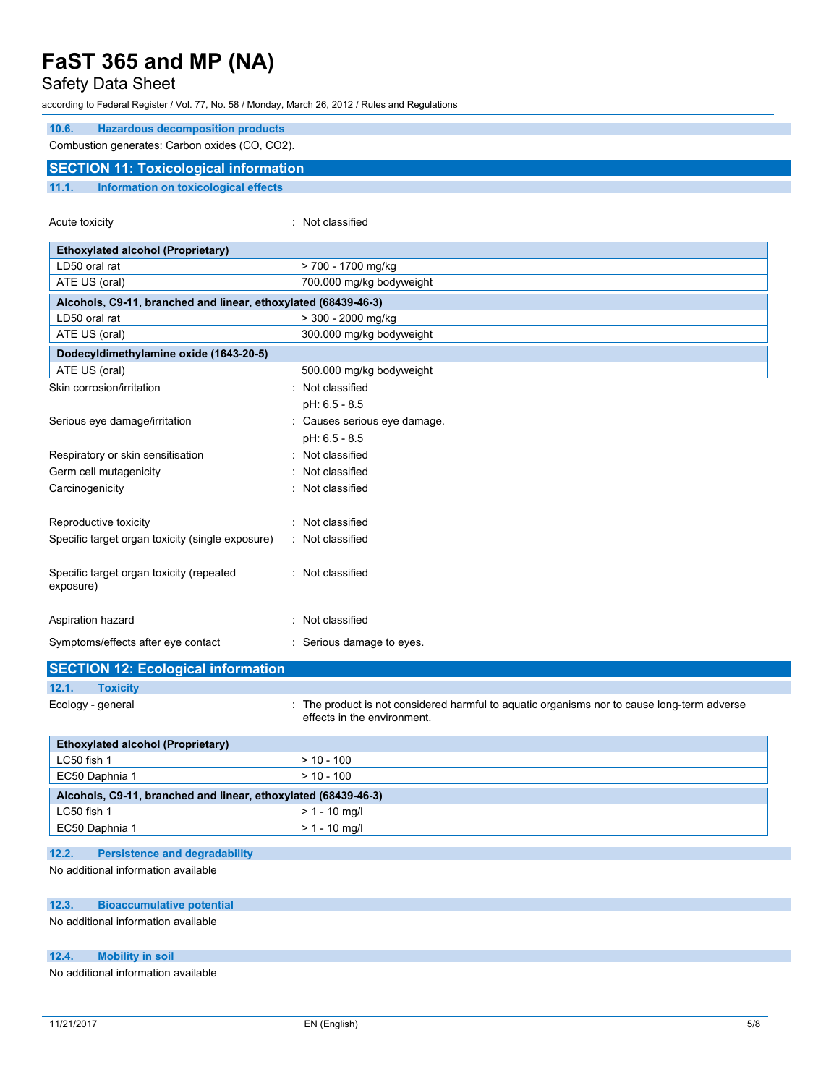## Safety Data Sheet

according to Federal Register / Vol. 77, No. 58 / Monday, March 26, 2012 / Rules and Regulations

| 10.6. | <b>Hazardous decomposition products</b>        |  |
|-------|------------------------------------------------|--|
|       | Combustion generates: Carbon oxides (CO, CO2). |  |
|       | <b>SECTION 11: Toxicological information</b>   |  |
| 11.1. | Information on toxicological effects           |  |

Acute toxicity **in the case of the case of the case of the case of the case of the case of the case of the case of the case of the case of the case of the case of the case of the case of the case of the case of the case of** 

| <b>Ethoxylated alcohol (Proprietary)</b>                       |                                                                                                                            |
|----------------------------------------------------------------|----------------------------------------------------------------------------------------------------------------------------|
| LD50 oral rat                                                  | > 700 - 1700 mg/kg                                                                                                         |
| ATE US (oral)                                                  | 700.000 mg/kg bodyweight                                                                                                   |
| Alcohols, C9-11, branched and linear, ethoxylated (68439-46-3) |                                                                                                                            |
| LD50 oral rat                                                  | > 300 - 2000 mg/kg                                                                                                         |
| ATE US (oral)                                                  | 300.000 mg/kg bodyweight                                                                                                   |
|                                                                |                                                                                                                            |
| Dodecyldimethylamine oxide (1643-20-5)<br>ATE US (oral)        | 500.000 mg/kg bodyweight                                                                                                   |
|                                                                |                                                                                                                            |
| Skin corrosion/irritation                                      | : Not classified                                                                                                           |
|                                                                | pH: 6.5 - 8.5                                                                                                              |
| Serious eye damage/irritation                                  | : Causes serious eye damage.                                                                                               |
|                                                                | pH: 6.5 - 8.5                                                                                                              |
| Respiratory or skin sensitisation                              | Not classified                                                                                                             |
| Germ cell mutagenicity                                         | Not classified                                                                                                             |
| Carcinogenicity                                                | : Not classified                                                                                                           |
|                                                                |                                                                                                                            |
| Reproductive toxicity                                          | : Not classified                                                                                                           |
| Specific target organ toxicity (single exposure)               | : Not classified                                                                                                           |
| Specific target organ toxicity (repeated<br>exposure)          | : Not classified                                                                                                           |
| Aspiration hazard                                              | : Not classified                                                                                                           |
| Symptoms/effects after eye contact                             | : Serious damage to eyes.                                                                                                  |
| <b>SECTION 12: Ecological information</b>                      |                                                                                                                            |
| 12.1.<br><b>Toxicity</b>                                       |                                                                                                                            |
| Ecology - general                                              | : The product is not considered harmful to aquatic organisms nor to cause long-term adverse<br>effects in the environment. |
| <b>Ethoxylated alcohol (Proprietary)</b>                       |                                                                                                                            |
| LC50 fish 1                                                    | $> 10 - 100$                                                                                                               |
| EC50 Daphnia 1                                                 | $> 10 - 100$                                                                                                               |
| Alcohols, C9-11, branched and linear, ethoxylated (68439-46-3) |                                                                                                                            |
| LC50 fish 1                                                    | $> 1 - 10$ mg/l                                                                                                            |
| EC50 Daphnia 1                                                 | $> 1 - 10$ mg/l                                                                                                            |
|                                                                |                                                                                                                            |

### **12.2. Persistence and degradability**

No additional information available

### **12.3. Bioaccumulative potential**

No additional information available

### **12.4. Mobility in soil**

No additional information available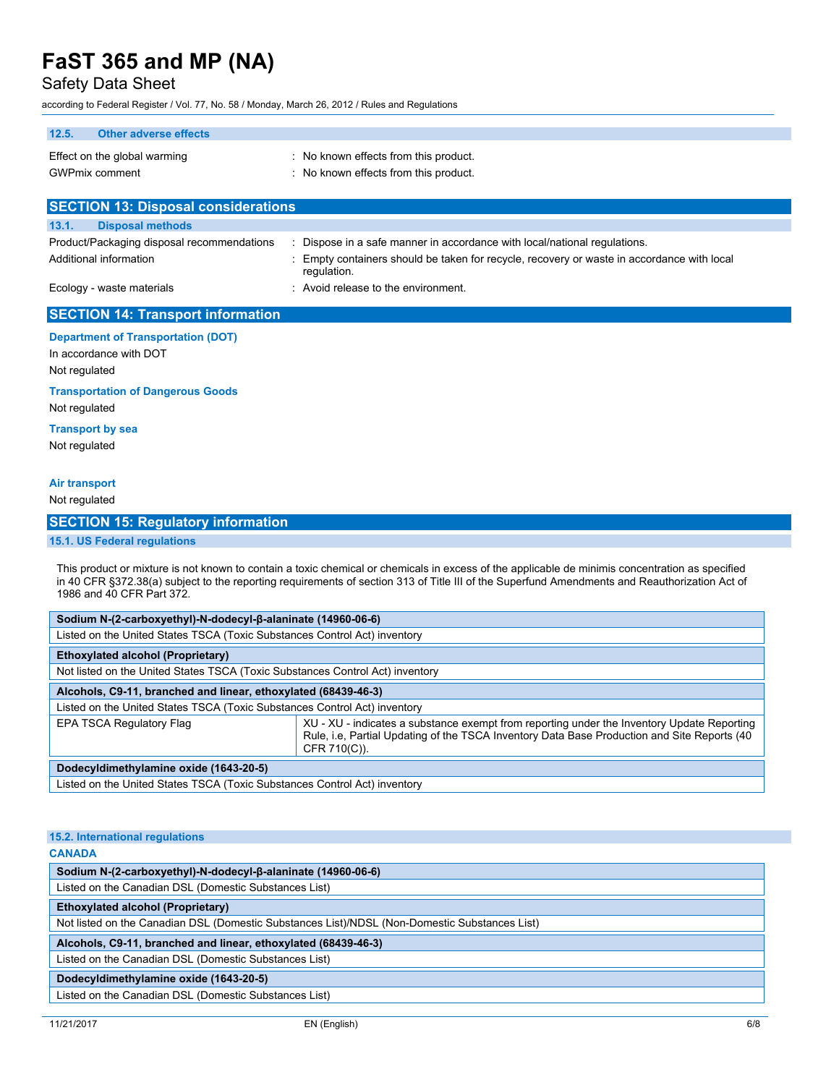Safety Data Sheet

according to Federal Register / Vol. 77, No. 58 / Monday, March 26, 2012 / Rules and Regulations

| $\sim$ origing to regeral register $\prime$ voi. $\prime\prime$ , rvo. 50 $\prime$ monday, march 20, 20 iz $\prime$ rules and regulations |                                                                                                                                                                                                                                                                                                  |
|-------------------------------------------------------------------------------------------------------------------------------------------|--------------------------------------------------------------------------------------------------------------------------------------------------------------------------------------------------------------------------------------------------------------------------------------------------|
| 12.5.<br><b>Other adverse effects</b>                                                                                                     |                                                                                                                                                                                                                                                                                                  |
| Effect on the global warming                                                                                                              | : No known effects from this product.                                                                                                                                                                                                                                                            |
| <b>GWPmix comment</b>                                                                                                                     | : No known effects from this product.                                                                                                                                                                                                                                                            |
| <b>SECTION 13: Disposal considerations</b>                                                                                                |                                                                                                                                                                                                                                                                                                  |
| 13.1.<br><b>Disposal methods</b>                                                                                                          |                                                                                                                                                                                                                                                                                                  |
| Product/Packaging disposal recommendations                                                                                                | : Dispose in a safe manner in accordance with local/national regulations.                                                                                                                                                                                                                        |
| Additional information                                                                                                                    | Empty containers should be taken for recycle, recovery or waste in accordance with local<br>regulation.                                                                                                                                                                                          |
| Ecology - waste materials                                                                                                                 | : Avoid release to the environment.                                                                                                                                                                                                                                                              |
| <b>SECTION 14: Transport information</b>                                                                                                  |                                                                                                                                                                                                                                                                                                  |
| <b>Department of Transportation (DOT)</b><br>In accordance with DOT<br>Not regulated                                                      |                                                                                                                                                                                                                                                                                                  |
| <b>Transportation of Dangerous Goods</b><br>Not regulated                                                                                 |                                                                                                                                                                                                                                                                                                  |
| <b>Transport by sea</b><br>Not regulated                                                                                                  |                                                                                                                                                                                                                                                                                                  |
| <b>Air transport</b>                                                                                                                      |                                                                                                                                                                                                                                                                                                  |
| Not regulated                                                                                                                             |                                                                                                                                                                                                                                                                                                  |
| <b>SECTION 15: Regulatory information</b>                                                                                                 |                                                                                                                                                                                                                                                                                                  |
|                                                                                                                                           |                                                                                                                                                                                                                                                                                                  |
| 15.1. US Federal regulations                                                                                                              |                                                                                                                                                                                                                                                                                                  |
| 1986 and 40 CFR Part 372.                                                                                                                 | This product or mixture is not known to contain a toxic chemical or chemicals in excess of the applicable de minimis concentration as specified<br>in 40 CFR §372.38(a) subject to the reporting requirements of section 313 of Title III of the Superfund Amendments and Reauthorization Act of |
| Sodium N-(2-carboxyethyl)-N-dodecyl-β-alaninate (14960-06-6)                                                                              |                                                                                                                                                                                                                                                                                                  |
| Listed on the United States TSCA (Toxic Substances Control Act) inventory                                                                 |                                                                                                                                                                                                                                                                                                  |
| <b>Ethoxylated alcohol (Proprietary)</b>                                                                                                  |                                                                                                                                                                                                                                                                                                  |
| Not listed on the United States TSCA (Toxic Substances Control Act) inventory                                                             |                                                                                                                                                                                                                                                                                                  |
| Alcohols, C9-11, branched and linear, ethoxylated (68439-46-3)                                                                            |                                                                                                                                                                                                                                                                                                  |
| Listed on the United States TSCA (Toxic Substances Control Act) inventory                                                                 |                                                                                                                                                                                                                                                                                                  |
| EPA TSCA Regulatory Flag                                                                                                                  | XU - XU - indicates a substance exempt from reporting under the Inventory Update Reporting<br>Rule, i.e, Partial Updating of the TSCA Inventory Data Base Production and Site Reports (40<br>CFR 710(C)).                                                                                        |
| Dodecyldimethylamine oxide (1643-20-5)                                                                                                    |                                                                                                                                                                                                                                                                                                  |
| Listed on the United States TSCA (Toxic Substances Control Act) inventory                                                                 |                                                                                                                                                                                                                                                                                                  |
|                                                                                                                                           |                                                                                                                                                                                                                                                                                                  |

| 15.2. International regulations                                                               |  |
|-----------------------------------------------------------------------------------------------|--|
| <b>CANADA</b>                                                                                 |  |
| Sodium N-(2-carboxyethyl)-N-dodecyl-β-alaninate (14960-06-6)                                  |  |
| Listed on the Canadian DSL (Domestic Substances List)                                         |  |
| <b>Ethoxylated alcohol (Proprietary)</b>                                                      |  |
| Not listed on the Canadian DSL (Domestic Substances List)/NDSL (Non-Domestic Substances List) |  |
| Alcohols, C9-11, branched and linear, ethoxylated (68439-46-3)                                |  |
| Listed on the Canadian DSL (Domestic Substances List)                                         |  |
| Dodecyldimethylamine oxide (1643-20-5)                                                        |  |
| Listed on the Canadian DSL (Domestic Substances List)                                         |  |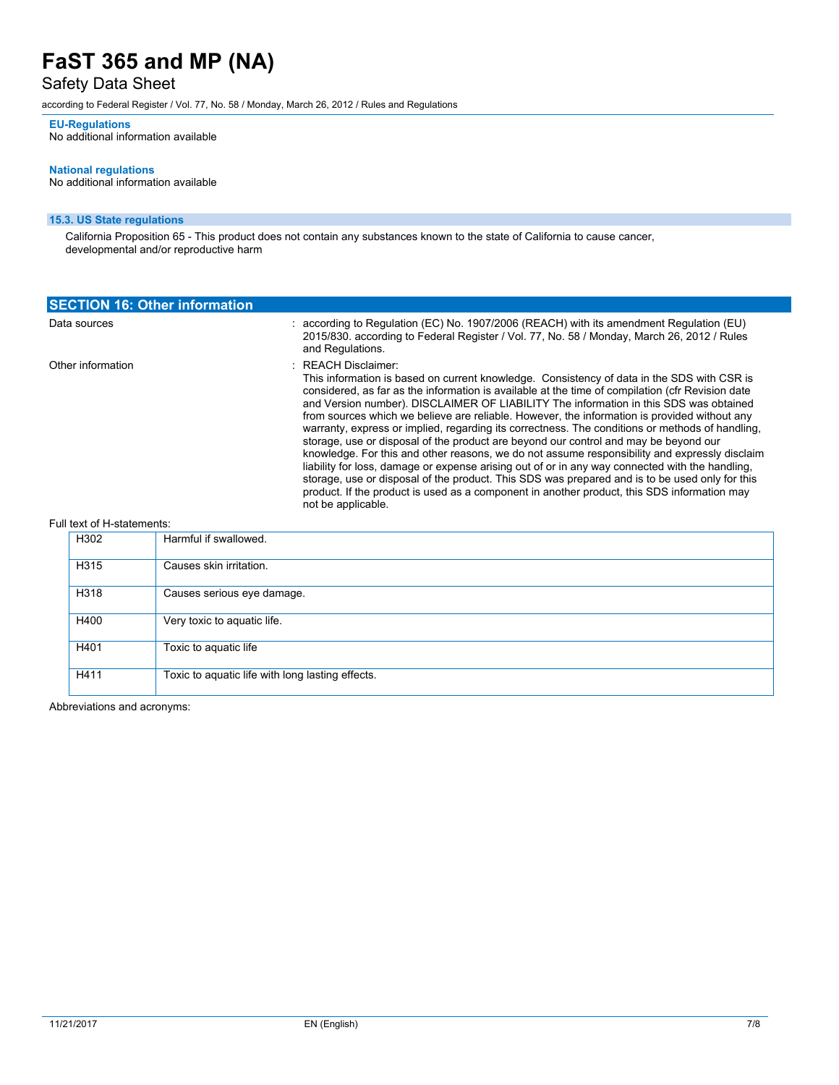## Safety Data Sheet

according to Federal Register / Vol. 77, No. 58 / Monday, March 26, 2012 / Rules and Regulations

#### **EU-Regulations**

No additional information available

#### **National regulations**

No additional information available

### **15.3. US State regulations**

California Proposition 65 - This product does not contain any substances known to the state of California to cause cancer, developmental and/or reproductive harm

| <b>SECTION 16: Other information</b> |  |                                                                                                                                                                                                                                                                                                                                                                                                                                                                                                                                                                                                                                                                                                                                                                                                                                                                                                                                                                                                                                      |  |  |
|--------------------------------------|--|--------------------------------------------------------------------------------------------------------------------------------------------------------------------------------------------------------------------------------------------------------------------------------------------------------------------------------------------------------------------------------------------------------------------------------------------------------------------------------------------------------------------------------------------------------------------------------------------------------------------------------------------------------------------------------------------------------------------------------------------------------------------------------------------------------------------------------------------------------------------------------------------------------------------------------------------------------------------------------------------------------------------------------------|--|--|
| Data sources                         |  | : according to Regulation (EC) No. 1907/2006 (REACH) with its amendment Regulation (EU)<br>2015/830, according to Federal Register / Vol. 77, No. 58 / Monday, March 26, 2012 / Rules<br>and Regulations.                                                                                                                                                                                                                                                                                                                                                                                                                                                                                                                                                                                                                                                                                                                                                                                                                            |  |  |
| Other information                    |  | : REACH Disclaimer:<br>This information is based on current knowledge. Consistency of data in the SDS with CSR is<br>considered, as far as the information is available at the time of compilation (cfr Revision date<br>and Version number). DISCLAIMER OF LIABILITY The information in this SDS was obtained<br>from sources which we believe are reliable. However, the information is provided without any<br>warranty, express or implied, regarding its correctness. The conditions or methods of handling,<br>storage, use or disposal of the product are beyond our control and may be beyond our<br>knowledge. For this and other reasons, we do not assume responsibility and expressly disclaim<br>liability for loss, damage or expense arising out of or in any way connected with the handling.<br>storage, use or disposal of the product. This SDS was prepared and is to be used only for this<br>product. If the product is used as a component in another product, this SDS information may<br>not be applicable. |  |  |

#### Full text of H-statements:

| H302 | Harmful if swallowed.                            |  |  |
|------|--------------------------------------------------|--|--|
| H315 | Causes skin irritation.                          |  |  |
| H318 | Causes serious eye damage.                       |  |  |
| H400 | Very toxic to aquatic life.                      |  |  |
| H401 | Toxic to aquatic life                            |  |  |
| H411 | Toxic to aquatic life with long lasting effects. |  |  |

Abbreviations and acronyms: